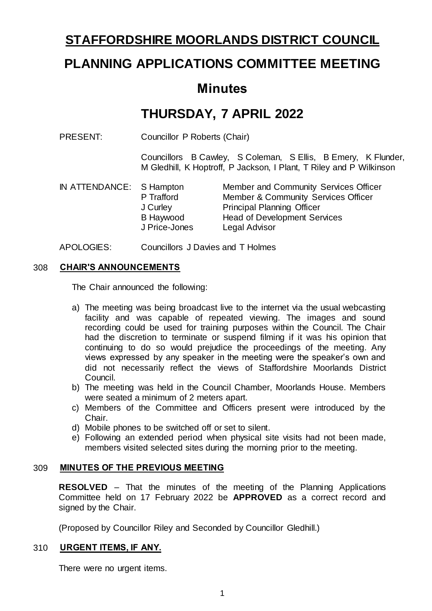## **STAFFORDSHIRE MOORLANDS DISTRICT COUNCIL**

# **PLANNING APPLICATIONS COMMITTEE MEETING**

## **Minutes**

# **THURSDAY, 7 APRIL 2022**

PRESENT: Councillor P Roberts (Chair)

Councillors B Cawley, S Coleman, S Ellis, B Emery, K Flunder, M Gledhill, K Hoptroff, P Jackson, I Plant, T Riley and P Wilkinson

- IN ATTENDANCE: S Hampton Member and Community Services Officer P Trafford Member & Community Services Officer<br>
J Curley Principal Planning Officer Principal Planning Officer B Haywood J Price-Jones Head of Development Services Legal Advisor
- APOLOGIES: Councillors J Davies and T Holmes

## 308 **CHAIR'S ANNOUNCEMENTS**

The Chair announced the following:

- a) The meeting was being broadcast live to the internet via the usual webcasting facility and was capable of repeated viewing. The images and sound recording could be used for training purposes within the Council. The Chair had the discretion to terminate or suspend filming if it was his opinion that continuing to do so would prejudice the proceedings of the meeting. Any views expressed by any speaker in the meeting were the speaker's own and did not necessarily reflect the views of Staffordshire Moorlands District Council.
- b) The meeting was held in the Council Chamber, Moorlands House. Members were seated a minimum of 2 meters apart.
- c) Members of the Committee and Officers present were introduced by the Chair.
- d) Mobile phones to be switched off or set to silent.
- e) Following an extended period when physical site visits had not been made, members visited selected sites during the morning prior to the meeting.

## 309 **MINUTES OF THE PREVIOUS MEETING**

**RESOLVED** – That the minutes of the meeting of the Planning Applications Committee held on 17 February 2022 be **APPROVED** as a correct record and signed by the Chair.

(Proposed by Councillor Riley and Seconded by Councillor Gledhill.)

## 310 **URGENT ITEMS, IF ANY.**

There were no urgent items.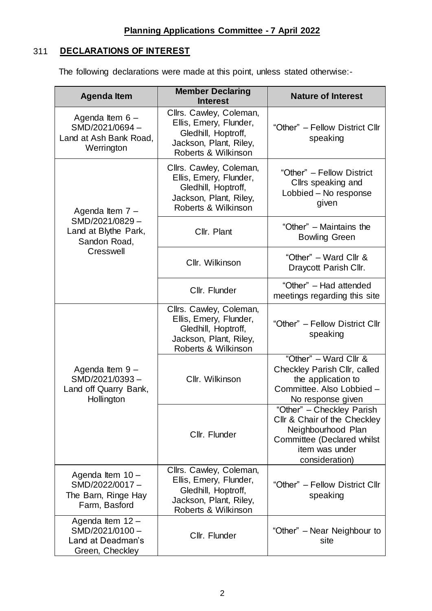## 311 **DECLARATIONS OF INTEREST**

The following declarations were made at this point, unless stated otherwise:-

| <b>Agenda Item</b>                                                          | <b>Member Declaring</b><br><b>Interest</b>                                                                                | <b>Nature of Interest</b>                                                                                                                         |
|-----------------------------------------------------------------------------|---------------------------------------------------------------------------------------------------------------------------|---------------------------------------------------------------------------------------------------------------------------------------------------|
| Agenda Item $6 -$<br>SMD/2021/0694-<br>Land at Ash Bank Road,<br>Werrington | Cllrs. Cawley, Coleman,<br>Ellis, Emery, Flunder,<br>Gledhill, Hoptroff,<br>Jackson, Plant, Riley,<br>Roberts & Wilkinson | "Other" - Fellow District Cllr<br>speaking                                                                                                        |
| Agenda Item 7 -                                                             | Cllrs. Cawley, Coleman,<br>Ellis, Emery, Flunder,<br>Gledhill, Hoptroff,<br>Jackson, Plant, Riley,<br>Roberts & Wilkinson | "Other" - Fellow District<br>Cllrs speaking and<br>Lobbied - No response<br>given                                                                 |
| SMD/2021/0829-<br>Land at Blythe Park,<br>Sandon Road,<br>Cresswell         | Cllr. Plant                                                                                                               | "Other" – Maintains the<br><b>Bowling Green</b>                                                                                                   |
|                                                                             | Cllr. Wilkinson                                                                                                           | "Other" - Ward Cllr &<br>Draycott Parish Cllr.                                                                                                    |
|                                                                             | Cllr. Flunder                                                                                                             | "Other" - Had attended<br>meetings regarding this site                                                                                            |
| Agenda Item 9 -<br>SMD/2021/0393-<br>Land off Quarry Bank,<br>Hollington    | Cllrs. Cawley, Coleman,<br>Ellis, Emery, Flunder,<br>Gledhill, Hoptroff,<br>Jackson, Plant, Riley,<br>Roberts & Wilkinson | "Other" - Fellow District Cllr<br>speaking                                                                                                        |
|                                                                             | Cllr. Wilkinson                                                                                                           | "Other" - Ward Cllr &<br>Checkley Parish Cllr, called<br>the application to<br>Committee. Also Lobbied -<br>No response given                     |
|                                                                             | Cllr. Flunder                                                                                                             | "Other" - Checkley Parish<br>Cllr & Chair of the Checkley<br>Neighbourhood Plan<br>Committee (Declared whilst<br>item was under<br>consideration) |
| Agenda Item 10 -<br>SMD/2022/0017-<br>The Barn, Ringe Hay<br>Farm, Basford  | Cllrs. Cawley, Coleman,<br>Ellis, Emery, Flunder,<br>Gledhill, Hoptroff,<br>Jackson, Plant, Riley,<br>Roberts & Wilkinson | "Other" - Fellow District Cllr<br>speaking                                                                                                        |
| Agenda Item 12 -<br>SMD/2021/0100-<br>Land at Deadman's<br>Green, Checkley  | Cllr. Flunder                                                                                                             | "Other" – Near Neighbour to<br>site                                                                                                               |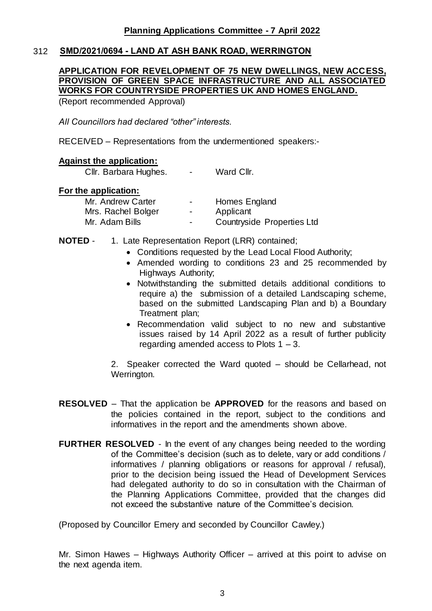## 312 **SMD/2021/0694 - LAND AT ASH BANK ROAD, WERRINGTON**

## **APPLICATION FOR REVELOPMENT OF 75 NEW DWELLINGS, NEW ACCESS, PROVISION OF GREEN SPACE INFRASTRUCTURE AND ALL ASSOCIATED WORKS FOR COUNTRYSIDE PROPERTIES UK AND HOMES ENGLAND.**

(Report recommended Approval)

*All Councillors had declared "other" interests.* 

RECEIVED – Representations from the undermentioned speakers:-

## **Against the application:**

Cllr. Barbara Hughes. - Ward Cllr.

#### **For the application:**

| Mr. Andrew Carter  | $\sim$         | Homes England              |
|--------------------|----------------|----------------------------|
| Mrs. Rachel Bolger | $\blacksquare$ | Applicant                  |
| Mr. Adam Bills     | $\sim$         | Countryside Properties Ltd |

- **NOTED** 1. Late Representation Report (LRR) contained;
	- Conditions requested by the Lead Local Flood Authority;
	- Amended wording to conditions 23 and 25 recommended by Highways Authority;
	- Notwithstanding the submitted details additional conditions to require a) the submission of a detailed Landscaping scheme, based on the submitted Landscaping Plan and b) a Boundary Treatment plan;
	- Recommendation valid subject to no new and substantive issues raised by 14 April 2022 as a result of further publicity regarding amended access to Plots  $1 - 3$ .

2. Speaker corrected the Ward quoted – should be Cellarhead, not Werrington.

- **RESOLVED** That the application be **APPROVED** for the reasons and based on the policies contained in the report, subject to the conditions and informatives in the report and the amendments shown above.
- **FURTHER RESOLVED** In the event of any changes being needed to the wording of the Committee's decision (such as to delete, vary or add conditions / informatives / planning obligations or reasons for approval / refusal), prior to the decision being issued the Head of Development Services had delegated authority to do so in consultation with the Chairman of the Planning Applications Committee, provided that the changes did not exceed the substantive nature of the Committee's decision.

(Proposed by Councillor Emery and seconded by Councillor Cawley.)

Mr. Simon Hawes – Highways Authority Officer – arrived at this point to advise on the next agenda item.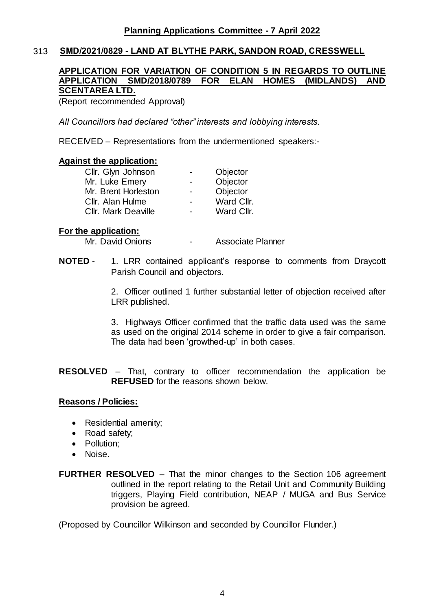## 313 **SMD/2021/0829 - LAND AT BLYTHE PARK, SANDON ROAD, CRESSWELL**

## **APPLICATION FOR VARIATION OF CONDITION 5 IN REGARDS TO OUTLINE APPLICATION SMD/2018/0789 FOR ELAN HOMES (MIDLANDS) AND SCENTAREA LTD.**

(Report recommended Approval)

*All Councillors had declared "other" interests and lobbying interests.* 

RECEIVED – Representations from the undermentioned speakers:-

#### **Against the application:**

| Cllr. Glyn Johnson         | $\blacksquare$           | Objector   |
|----------------------------|--------------------------|------------|
| Mr. Luke Emery             | $\overline{\phantom{0}}$ | Objector   |
| Mr. Brent Horleston        | $\blacksquare$           | Objector   |
| Cllr. Alan Hulme           | $\blacksquare$           | Ward Cllr. |
| <b>Cllr. Mark Deaville</b> | $\blacksquare$           | Ward Cllr. |

#### **For the application:**

Mr. David Onions **- Associate Planner** 

**NOTED** - 1. LRR contained applicant's response to comments from Draycott Parish Council and objectors.

> 2. Officer outlined 1 further substantial letter of objection received after LRR published.

> 3. Highways Officer confirmed that the traffic data used was the same as used on the original 2014 scheme in order to give a fair comparison. The data had been 'growthed-up' in both cases.

**RESOLVED** – That, contrary to officer recommendation the application be **REFUSED** for the reasons shown below.

## **Reasons / Policies:**

- Residential amenity;
- Road safety;
- Pollution;
- Noise.
- **FURTHER RESOLVED** That the minor changes to the Section 106 agreement outlined in the report relating to the Retail Unit and Community Building triggers, Playing Field contribution, NEAP / MUGA and Bus Service provision be agreed.

(Proposed by Councillor Wilkinson and seconded by Councillor Flunder.)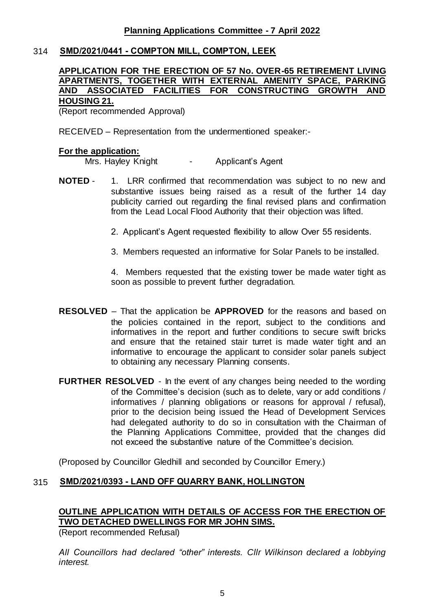## 314 **SMD/2021/0441 - COMPTON MILL, COMPTON, LEEK**

## **APPLICATION FOR THE ERECTION OF 57 No. OVER-65 RETIREMENT LIVING APARTMENTS, TOGETHER WITH EXTERNAL AMENITY SPACE, PARKING AND ASSOCIATED FACILITIES FOR CONSTRUCTING GROWTH AND**

## **HOUSING 21.**

(Report recommended Approval)

RECEIVED – Representation from the undermentioned speaker:-

#### **For the application:**

Mrs. Hayley Knight - Applicant's Agent

- **NOTED** 1. LRR confirmed that recommendation was subject to no new and substantive issues being raised as a result of the further 14 day publicity carried out regarding the final revised plans and confirmation from the Lead Local Flood Authority that their objection was lifted.
	- 2. Applicant's Agent requested flexibility to allow Over 55 residents.
	- 3. Members requested an informative for Solar Panels to be installed.

4. Members requested that the existing tower be made water tight as soon as possible to prevent further degradation.

- **RESOLVED** That the application be **APPROVED** for the reasons and based on the policies contained in the report, subject to the conditions and informatives in the report and further conditions to secure swift bricks and ensure that the retained stair turret is made water tight and an informative to encourage the applicant to consider solar panels subject to obtaining any necessary Planning consents.
- **FURTHER RESOLVED** In the event of any changes being needed to the wording of the Committee's decision (such as to delete, vary or add conditions / informatives / planning obligations or reasons for approval / refusal), prior to the decision being issued the Head of Development Services had delegated authority to do so in consultation with the Chairman of the Planning Applications Committee, provided that the changes did not exceed the substantive nature of the Committee's decision.

(Proposed by Councillor Gledhill and seconded by Councillor Emery.)

## 315 **SMD/2021/0393 - LAND OFF QUARRY BANK, HOLLINGTON**

## **OUTLINE APPLICATION WITH DETAILS OF ACCESS FOR THE ERECTION OF TWO DETACHED DWELLINGS FOR MR JOHN SIMS.**

(Report recommended Refusal)

*All Councillors had declared "other" interests. Cllr Wilkinson declared a lobbying interest.*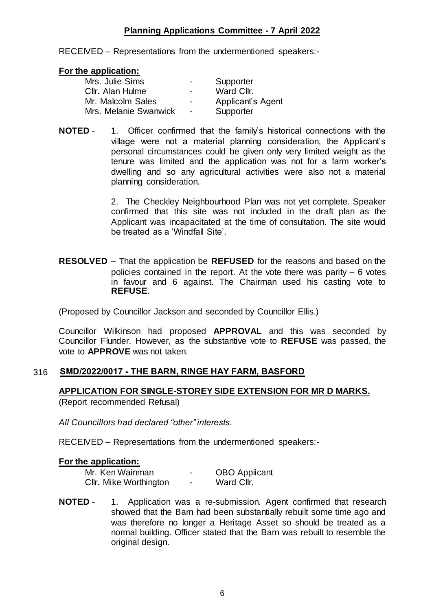## **Planning Applications Committee - 7 April 2022**

RECEIVED – Representations from the undermentioned speakers:-

#### **For the application:**

| Mrs. Julie Sims       | $\blacksquare$           | Supporter         |
|-----------------------|--------------------------|-------------------|
| Cllr. Alan Hulme      | $\overline{\phantom{0}}$ | Ward Cllr.        |
| Mr. Malcolm Sales     | $\overline{\phantom{0}}$ | Applicant's Agent |
| Mrs. Melanie Swanwick | $\sim$                   | Supporter         |

**NOTED** - 1. Officer confirmed that the family's historical connections with the village were not a material planning consideration, the Applicant's personal circumstances could be given only very limited weight as the tenure was limited and the application was not for a farm worker's dwelling and so any agricultural activities were also not a material planning consideration.

> 2. The Checkley Neighbourhood Plan was not yet complete. Speaker confirmed that this site was not included in the draft plan as the Applicant was incapacitated at the time of consultation. The site would be treated as a 'Windfall Site'.

**RESOLVED** – That the application be **REFUSED** for the reasons and based on the policies contained in the report. At the vote there was parity – 6 votes in favour and 6 against. The Chairman used his casting vote to **REFUSE**.

(Proposed by Councillor Jackson and seconded by Councillor Ellis.)

Councillor Wilkinson had proposed **APPROVAL** and this was seconded by Councillor Flunder. However, as the substantive vote to **REFUSE** was passed, the vote to **APPROVE** was not taken.

## 316 **SMD/2022/0017 - THE BARN, RINGE HAY FARM, BASFORD**

## **APPLICATION FOR SINGLE-STOREY SIDE EXTENSION FOR MR D MARKS.**

(Report recommended Refusal)

*All Councillors had declared "other" interests.* 

RECEIVED – Representations from the undermentioned speakers:-

#### **For the application:**

| Mr. Ken Wainman        | -                        | <b>OBO</b> Applicant |
|------------------------|--------------------------|----------------------|
| Cllr. Mike Worthington | $\overline{\phantom{0}}$ | Ward Cllr.           |

**NOTED** - 1. Application was a re-submission. Agent confirmed that research showed that the Barn had been substantially rebuilt some time ago and was therefore no longer a Heritage Asset so should be treated as a normal building. Officer stated that the Barn was rebuilt to resemble the original design.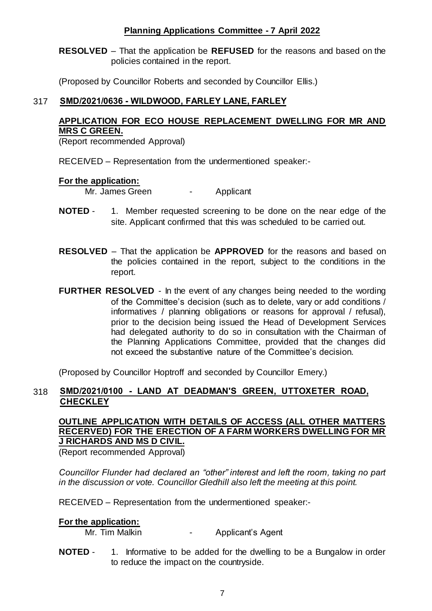## **Planning Applications Committee - 7 April 2022**

**RESOLVED** – That the application be **REFUSED** for the reasons and based on the policies contained in the report.

(Proposed by Councillor Roberts and seconded by Councillor Ellis.)

## 317 **SMD/2021/0636 - WILDWOOD, FARLEY LANE, FARLEY**

## **APPLICATION FOR ECO HOUSE REPLACEMENT DWELLING FOR MR AND MRS C GREEN.**

(Report recommended Approval)

RECEIVED – Representation from the undermentioned speaker:-

#### **For the application:**

Mr. James Green - Applicant

- **NOTED** 1. Member requested screening to be done on the near edge of the site. Applicant confirmed that this was scheduled to be carried out.
- **RESOLVED** That the application be **APPROVED** for the reasons and based on the policies contained in the report, subject to the conditions in the report.
- **FURTHER RESOLVED** In the event of any changes being needed to the wording of the Committee's decision (such as to delete, vary or add conditions / informatives / planning obligations or reasons for approval / refusal), prior to the decision being issued the Head of Development Services had delegated authority to do so in consultation with the Chairman of the Planning Applications Committee, provided that the changes did not exceed the substantive nature of the Committee's decision.

(Proposed by Councillor Hoptroff and seconded by Councillor Emery.)

## 318 **SMD/2021/0100 - LAND AT DEADMAN'S GREEN, UTTOXETER ROAD, CHECKLEY**

## **OUTLINE APPLICATION WITH DETAILS OF ACCESS (ALL OTHER MATTERS RECERVED) FOR THE ERECTION OF A FARM WORKERS DWELLING FOR MR J RICHARDS AND MS D CIVIL.**

(Report recommended Approval)

*Councillor Flunder had declared an "other" interest and left the room, taking no part in the discussion or vote. Councillor Gledhill also left the meeting at this point.*

RECEIVED – Representation from the undermentioned speaker:-

#### **For the application:**

Mr. Tim Malkin **- Applicant's Agent** 

**NOTED** - 1. Informative to be added for the dwelling to be a Bungalow in order to reduce the impact on the countryside.